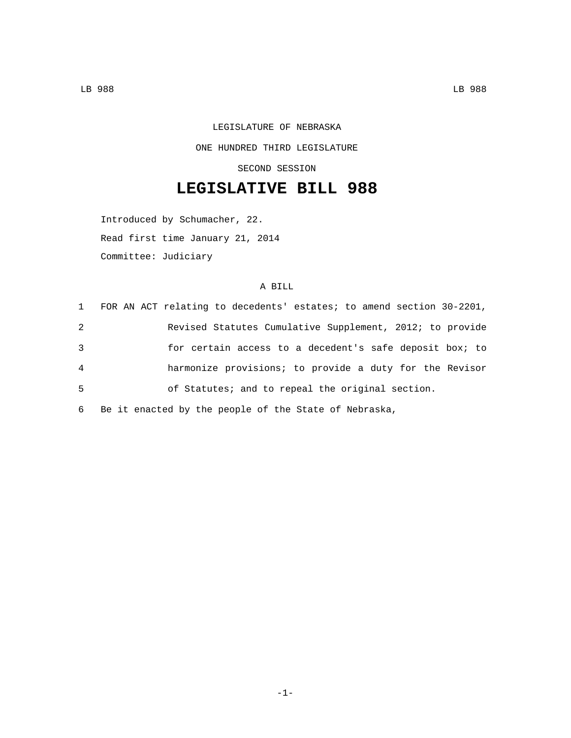LEGISLATURE OF NEBRASKA ONE HUNDRED THIRD LEGISLATURE SECOND SESSION

## **LEGISLATIVE BILL 988**

Introduced by Schumacher, 22. Read first time January 21, 2014 Committee: Judiciary

## A BILL

|   | 1 FOR AN ACT relating to decedents' estates; to amend section 30-2201, |
|---|------------------------------------------------------------------------|
| 2 | Revised Statutes Cumulative Supplement, 2012; to provide               |
| 3 | for certain access to a decedent's safe deposit box; to                |
| 4 | harmonize provisions; to provide a duty for the Revisor                |
| 5 | of Statutes; and to repeal the original section.                       |
|   |                                                                        |

6 Be it enacted by the people of the State of Nebraska,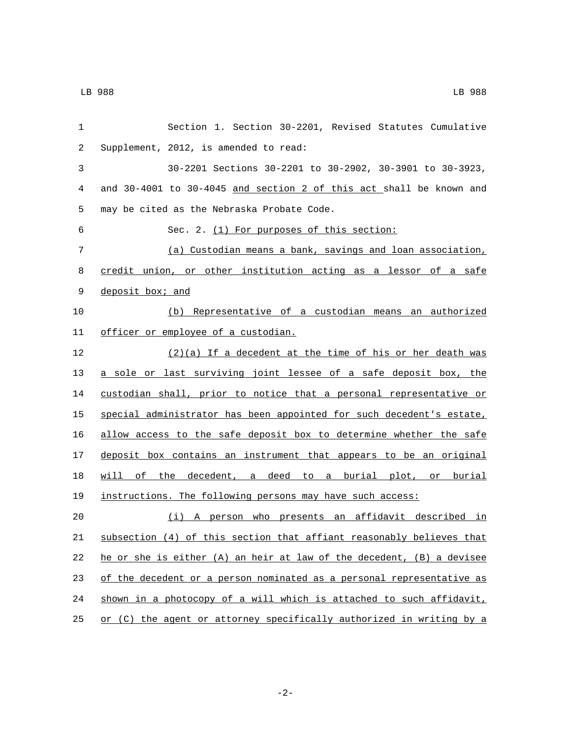| 1  | Section 1. Section 30-2201, Revised Statutes Cumulative               |  |  |
|----|-----------------------------------------------------------------------|--|--|
| 2  | Supplement, 2012, is amended to read:                                 |  |  |
| 3  | 30-2201 Sections 30-2201 to 30-2902, 30-3901 to 30-3923,              |  |  |
| 4  | and 30-4001 to 30-4045 and section 2 of this act shall be known and   |  |  |
| 5  | may be cited as the Nebraska Probate Code.                            |  |  |
| 6  | Sec. 2. (1) For purposes of this section:                             |  |  |
| 7  | (a) Custodian means a bank, savings and loan association,             |  |  |
| 8  | credit union, or other institution acting as a lessor of a safe       |  |  |
| 9  | deposit box; and                                                      |  |  |
| 10 | (b) Representative of a custodian means an authorized                 |  |  |
| 11 | officer or employee of a custodian.                                   |  |  |
| 12 | $(2)(a)$ If a decedent at the time of his or her death was            |  |  |
| 13 | a sole or last surviving joint lessee of a safe deposit box, the      |  |  |
| 14 | custodian shall, prior to notice that a personal representative or    |  |  |
| 15 | special administrator has been appointed for such decedent's estate,  |  |  |
| 16 | allow access to the safe deposit box to determine whether the safe    |  |  |
| 17 | deposit box contains an instrument that appears to be an original     |  |  |
| 18 | will of the decedent, a deed to a burial plot, or burial              |  |  |
| 19 | instructions. The following persons may have such access:             |  |  |
| 20 | (i) A person who presents an affidavit described in                   |  |  |
| 21 | subsection (4) of this section that affiant reasonably believes that  |  |  |
| 22 | he or she is either (A) an heir at law of the decedent, (B) a devisee |  |  |
| 23 | of the decedent or a person nominated as a personal representative as |  |  |
| 24 | shown in a photocopy of a will which is attached to such affidavit,   |  |  |
| 25 | or (C) the agent or attorney specifically authorized in writing by a  |  |  |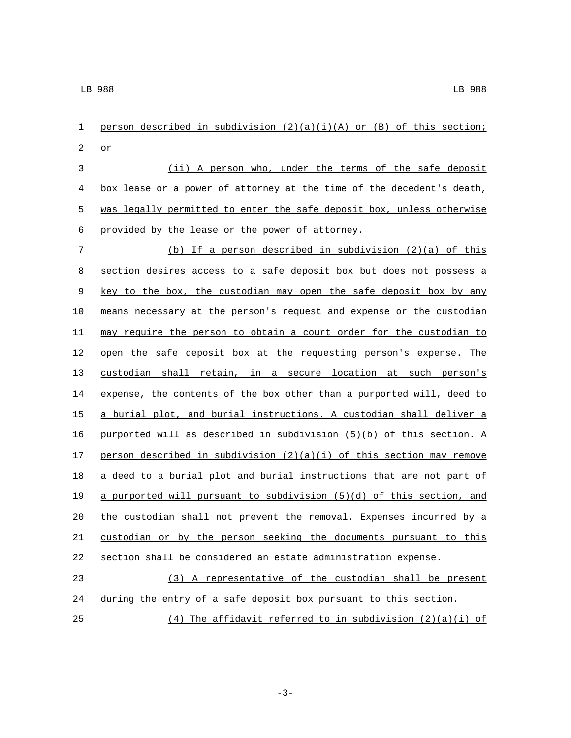1 person described in subdivision  $(2)(a)(i)(A)$  or  $(B)$  of this section;  $\sigma$  (ii) A person who, under the terms of the safe deposit 4 box lease or a power of attorney at the time of the decedent's death, 5 was legally permitted to enter the safe deposit box, unless otherwise 6 provided by the lease or the power of attorney. (b) If a person described in subdivision (2)(a) of this section desires access to a safe deposit box but does not possess a 9 key to the box, the custodian may open the safe deposit box by any means necessary at the person's request and expense or the custodian may require the person to obtain a court order for the custodian to open the safe deposit box at the requesting person's expense. The custodian shall retain, in a secure location at such person's expense, the contents of the box other than a purported will, deed to a burial plot, and burial instructions. A custodian shall deliver a purported will as described in subdivision (5)(b) of this section. A 17 person described in subdivision  $(2)(a)(i)$  of this section may remove 18 a deed to a burial plot and burial instructions that are not part of 19 a purported will pursuant to subdivision  $(5)(d)$  of this section, and the custodian shall not prevent the removal. Expenses incurred by a custodian or by the person seeking the documents pursuant to this section shall be considered an estate administration expense. (3) A representative of the custodian shall be present during the entry of a safe deposit box pursuant to this section. (4) The affidavit referred to in subdivision (2)(a)(i) of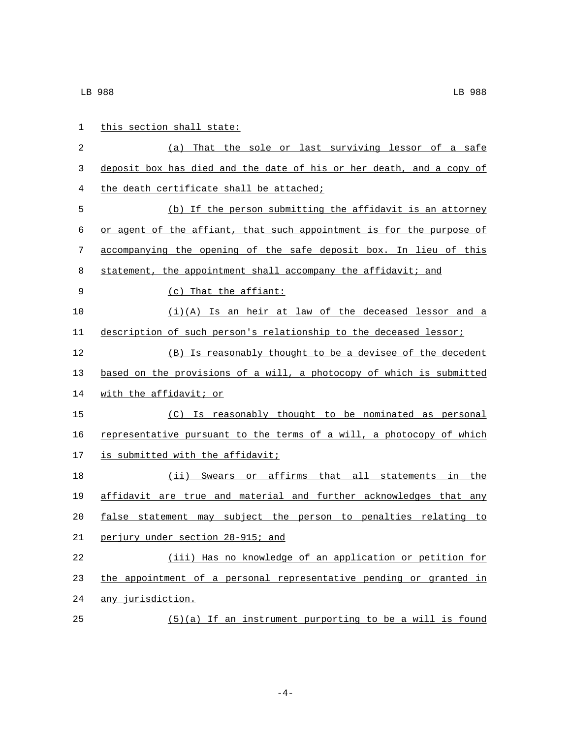| 1  | this section shall state:                                            |  |
|----|----------------------------------------------------------------------|--|
| 2  | That the sole or last surviving lessor of a safe<br>(a)              |  |
| 3  | deposit box has died and the date of his or her death, and a copy of |  |
| 4  | the death certificate shall be attached;                             |  |
| 5  | (b) If the person submitting the affidavit is an attorney            |  |
| 6  | or agent of the affiant, that such appointment is for the purpose of |  |
| 7  | accompanying the opening of the safe deposit box. In lieu of this    |  |
| 8  | statement, the appointment shall accompany the affidavit; and        |  |
| 9  | (c) That the affiant:                                                |  |
| 10 | $(i)(A)$ Is an heir at law of the deceased lessor and a              |  |
| 11 | description of such person's relationship to the deceased lessor;    |  |
| 12 | (B) Is reasonably thought to be a devisee of the decedent            |  |
| 13 | based on the provisions of a will, a photocopy of which is submitted |  |
| 14 | with the affidavit; or                                               |  |
| 15 | (C) Is reasonably thought to be nominated as personal                |  |
| 16 | representative pursuant to the terms of a will, a photocopy of which |  |
| 17 | is submitted with the affidavit;                                     |  |
| 18 | (ii) Swears or affirms that all statements in the                    |  |
| 19 | affidavit are true and material and further acknowledges that any    |  |
| 20 | false statement may subject the person to penalties relating<br>to   |  |
| 21 | perjury under section 28-915; and                                    |  |
| 22 | (iii) Has no knowledge of an application or petition for             |  |
| 23 | the appointment of a personal representative pending or granted in   |  |
| 24 | any jurisdiction.                                                    |  |
| 25 | $(5)(a)$ If an instrument purporting to be a will is found           |  |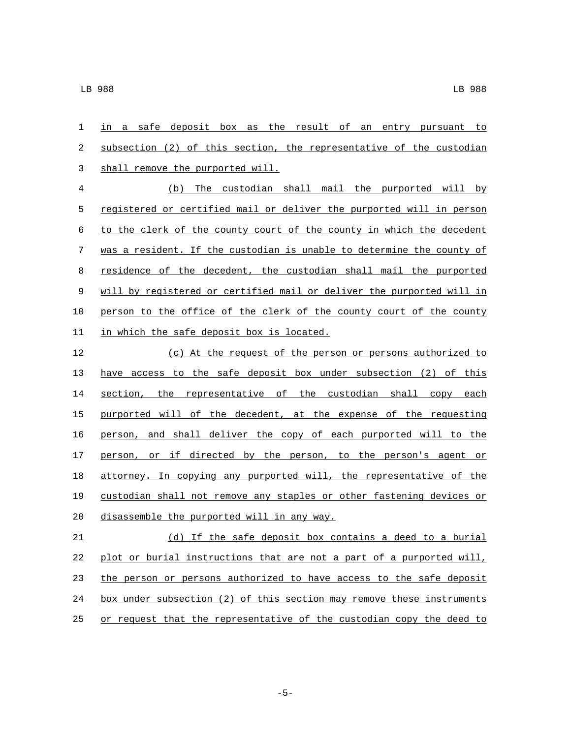in a safe deposit box as the result of an entry pursuant to 2 subsection (2) of this section, the representative of the custodian 3 shall remove the purported will.

 (b) The custodian shall mail the purported will by registered or certified mail or deliver the purported will in person to the clerk of the county court of the county in which the decedent was a resident. If the custodian is unable to determine the county of residence of the decedent, the custodian shall mail the purported will by registered or certified mail or deliver the purported will in person to the office of the clerk of the county court of the county 11 in which the safe deposit box is located.

 (c) At the request of the person or persons authorized to have access to the safe deposit box under subsection (2) of this section, the representative of the custodian shall copy each purported will of the decedent, at the expense of the requesting person, and shall deliver the copy of each purported will to the 17 person, or if directed by the person, to the person's agent or attorney. In copying any purported will, the representative of the custodian shall not remove any staples or other fastening devices or 20 disassemble the purported will in any way.

 (d) If the safe deposit box contains a deed to a burial plot or burial instructions that are not a part of a purported will, the person or persons authorized to have access to the safe deposit box under subsection (2) of this section may remove these instruments 25 or request that the representative of the custodian copy the deed to

-5-